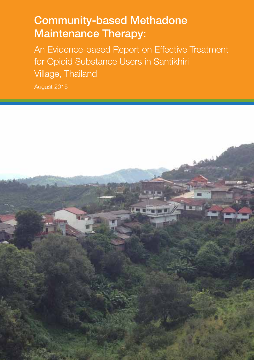# Community-based Methadone Maintenance Therapy:

An Evidence-based Report on Effective Treatment for Opioid Substance Users in Santikhiri Village, Thailand

August 2015

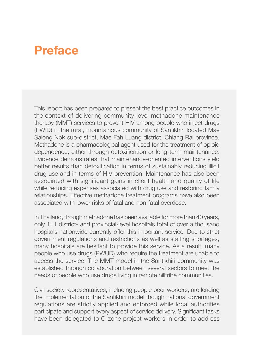# **Preface**

This report has been prepared to present the best practice outcomes in the context of delivering community-level methadone maintenance therapy (MMT) services to prevent HIV among people who inject drugs (PWID) in the rural, mountainous community of Santikhiri located Mae Salong Nok sub-district, Mae Fah Luang district, Chiang Rai province. Methadone is a pharmacological agent used for the treatment of opioid dependence, either through detoxification or long-term maintenance. Evidence demonstrates that maintenance-oriented interventions yield better results than detoxification in terms of sustainably reducing illicit drug use and in terms of HIV prevention. Maintenance has also been associated with significant gains in client health and quality of life while reducing expenses associated with drug use and restoring family relationships. Effective methadone treatment programs have also been associated with lower risks of fatal and non-fatal overdose.

In Thailand, though methadone has been available for more than 40 years, only 111 district- and provincial-level hospitals total of over a thousand hospitals nationwide currently offer this important service. Due to strict government regulations and restrictions as well as staffing shortages, many hospitals are hesitant to provide this service. As a result, many people who use drugs (PWUD) who require the treatment are unable to access the service. The MMT model in the Santikhiri community was established through collaboration between several sectors to meet the needs of people who use drugs living in remote hilltribe communities.

Civil society representatives, including people peer workers, are leading the implementation of the Santikhiri model though national government regulations are strictly applied and enforced while local authorities participate and support every aspect of service delivery. Significant tasks have been delegated to O-zone project workers in order to address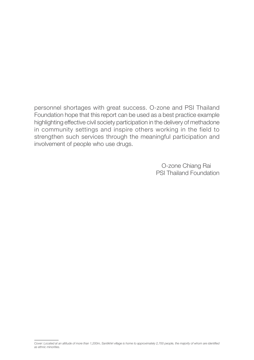personnel shortages with great success. O-zone and PSI Thailand Foundation hope that this report can be used as a best practice example highlighting effective civil society participation in the delivery of methadone in community settings and inspire others working in the field to strengthen such services through the meaningful participation and involvement of people who use drugs.

> O-zone Chiang Rai PSI Thailand Foundation

*Cover: Located at an altitude of more than 1,200m, Santikhiri village is home to approximately 2,700 people, the majority of whom are identified as ethnic minorities.*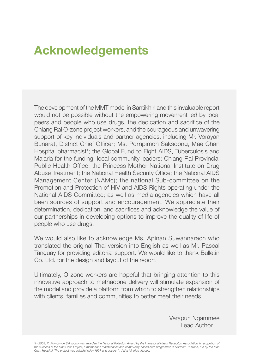# **Acknowledgements**

The development of the MMT model in Santikhiri and this invaluable report would not be possible without the empowering movement led by local peers and people who use drugs, the dedication and sacrifice of the Chiang Rai O-zone project workers, and the courageous and unwavering support of key individuals and partner agencies, including Mr. Vorayan Bunarat, District Chief Officer; Ms. Pornpimon Saksoong, Mae Chan Hospital pharmacist<sup>1</sup>; the Global Fund to Fight AIDS, Tuberculosis and Malaria for the funding; local community leaders; Chiang Rai Provincial Public Health Office; the Princess Mother National Institute on Drug Abuse Treatment; the National Health Security Office; the National AIDS Management Center (NAMc); the national Sub-committee on the Promotion and Protection of HIV and AIDS Rights operating under the National AIDS Committee; as well as media agencies which have all been sources of support and encouragement. We appreciate their determination, dedication, and sacrifices and acknowledge the value of our partnerships in developing options to improve the quality of life of people who use drugs.

We would also like to acknowledge Ms. Apinan Suwannarach who translated the original Thai version into English as well as Mr. Pascal Tanguay for providing editorial support. We would like to thank Bulletin Co. Ltd. for the design and layout of the report.

Ultimately, O-zone workers are hopeful that bringing attention to this innovative approach to methadone delivery will stimulate expansion of the model and provide a platform from which to strengthen relationships with clients' families and communities to better meet their needs.

> Verapun Ngammee Lead Author

<sup>1</sup>In 2003, K. Pornpimon Saksoong was awarded the National Rolleston Award by the Intrnational Haem Reduciton Association in recognition of *the success of the Mae Chan Project, a methadone maintenance and community-based care programme in Northern Thailand, run by the Mae Chan Hospital. The project was established in 1997 and covers 11 Akha hill-tribe villages.*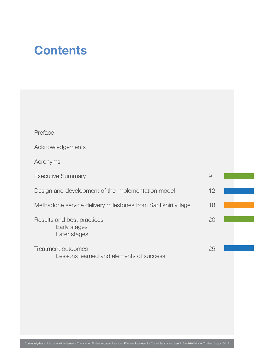# **Contents**

| Preface                                                       |    |  |
|---------------------------------------------------------------|----|--|
| Acknowledgements                                              |    |  |
| Acronyms                                                      |    |  |
| <b>Executive Summary</b>                                      | 9  |  |
| Design and development of the implementation model            | 12 |  |
| Methadone service delivery milestones from Santikhiri village | 18 |  |
| Results and best practices<br>Early stages<br>Later stages    | 20 |  |
| Treatment outcomes<br>Lessons learned and elements of success | 25 |  |

T.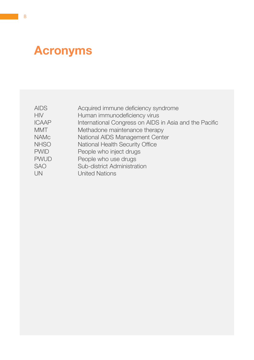# **Acronyms**

| <b>AIDS</b>  | Acquired immune deficiency syndrome                    |
|--------------|--------------------------------------------------------|
|              |                                                        |
| <b>HIV</b>   | Human immunodeficiency virus                           |
| <b>ICAAP</b> | International Congress on AIDS in Asia and the Pacific |
| <b>MMT</b>   | Methadone maintenance therapy                          |
| <b>NAMc</b>  | National AIDS Management Center                        |
| <b>NHSO</b>  | National Health Security Office                        |
| <b>PWID</b>  | People who inject drugs                                |
| <b>PWUD</b>  | People who use drugs                                   |
| <b>SAO</b>   | Sub-district Administration                            |
| UN           | <b>United Nations</b>                                  |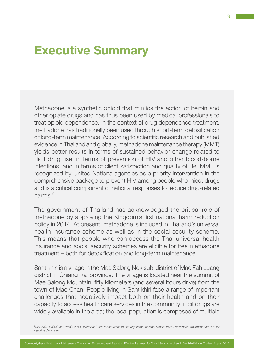## **Executive Summary**

Methadone is a synthetic opioid that mimics the action of heroin and other opiate drugs and has thus been used by medical professionals to treat opioid dependence. In the context of drug dependence treatment, methadone has traditionally been used through short-term detoxification or long-term maintenance. According to scientific research and published evidence in Thailand and globally, methadone maintenance therapy (MMT) yields better results in terms of sustained behavior change related to illicit drug use, in terms of prevention of HIV and other blood-borne infections, and in terms of client satisfaction and quality of life. MMT is recognized by United Nations agencies as a priority intervention in the comprehensive package to prevent HIV among people who inject drugs and is a critical component of national responses to reduce drug-related harms<sup>2</sup>

The government of Thailand has acknowledged the critical role of methadone by approving the Kingdom's first national harm reduction policy in 2014. At present, methadone is included in Thailand's universal health insurance scheme as well as in the social security scheme. This means that people who can access the Thai universal health insurance and social security schemes are eligible for free methadone treatment – both for detoxification and long-term maintenance.

Santikhiri is a village in the Mae Salong Nok sub-district of Mae Fah Luang district in Chiang Rai province. The village is located near the summit of Mae Salong Mountain, fifty kilometers (and several hours drive) from the town of Mae Chan. People living in Santikhiri face a range of important challenges that negatively impact both on their health and on their capacity to access health care services in the community: illicit drugs are widely available in the area; the local population is composed of multiple

*<sup>2</sup> UNAIDS, UNODC and WHO. 2013. Technical Guide for countries to set targets for universal access to HIV prevention, treatment and care for injecting drug users.*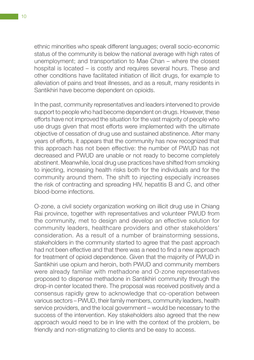ethnic minorities who speak different languages; overall socio-economic status of the community is below the national average with high rates of unemployment; and transportation to Mae Chan – where the closest hospital is located – is costly and requires several hours. These and other conditions have facilitated initiation of illicit drugs, for example to alleviation of pains and treat illnesses, and as a result, many residents in Santikhiri have become dependent on opioids.

In the past, community representatives and leaders intervened to provide support to people who had become dependent on drugs. However, these efforts have not improved the situation for the vast majority of people who use drugs given that most efforts were implemented with the ultimate objective of cessation of drug use and sustained abstinence. After many years of efforts, it appears that the community has now recognized that this approach has not been effective: the number of PWUD has not decreased and PWUD are unable or not ready to become completely abstinent. Meanwhile, local drug use practices have shifted from smoking to injecting, increasing health risks both for the individuals and for the community around them. The shift to injecting especially increases the risk of contracting and spreading HIV, hepatitis B and C, and other blood-borne infections.

O-zone, a civil society organization working on illicit drug use in Chiang Rai province, together with representatives and volunteer PWUD from the community, met to design and develop an effective solution for community leaders, healthcare providers and other stakeholders' consideration. As a result of a number of brainstorming sessions, stakeholders in the community started to agree that the past approach had not been effective and that there was a need to find a new approach for treatment of opioid dependence. Given that the majority of PWUD in Santikhiri use opium and heroin, both PWUD and community members were already familiar with methadone and O-zone representatives proposed to dispense methadone in Santikhiri community through the drop-in center located there. The proposal was received positively and a consensus rapidly grew to acknowledge that co-operation between various sectors – PWUD, their family members, community leaders, health service providers, and the local government – would be necessary to the success of the intervention. Key stakeholders also agreed that the new approach would need to be in line with the context of the problem, be friendly and non-stigmatizing to clients and be easy to access.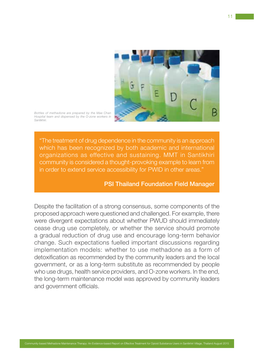

*Bottles of methadone are prepared by the Mae Chan Hospital team and dispensed by the O-zone workers in Santikhiri.*

"The treatment of drug dependence in the community is an approach which has been recognized by both academic and international organizations as effective and sustaining. MMT in Santikhiri community is considered a thought-provoking example to learn from in order to extend service accessibility for PWID in other areas."

### PSI Thailand Foundation Field Manager

Despite the facilitation of a strong consensus, some components of the proposed approach were questioned and challenged. For example, there were divergent expectations about whether PWUD should immediately cease drug use completely, or whether the service should promote a gradual reduction of drug use and encourage long-term behavior change. Such expectations fuelled important discussions regarding implementation models: whether to use methadone as a form of detoxification as recommended by the community leaders and the local government, or as a long-term substitute as recommended by people who use drugs, health service providers, and O-zone workers. In the end, the long-term maintenance model was approved by community leaders and government officials.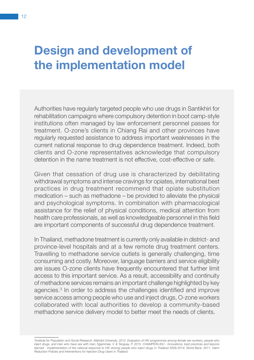# **Design and development of the implementation model**

Authorities have regularly targeted people who use drugs in Santikhiri for rehabilitation campaigns where compulsory detention in boot camp-style institutions often managed by law enforcement personnel passes for treatment. O-zone's clients in Chiang Rai and other provinces have regularly requested assistance to address important weaknesses in the current national response to drug dependence treatment. Indeed, both clients and O-zone representatives acknowledge that compulsory detention in the name treatment is not effective, cost-effective or safe.

Given that cessation of drug use is characterized by debilitating withdrawal symptoms and intense cravings for opiates, international best practices in drug treatment recommend that opiate substitution medication – such as methadone – be provided to alleviate the physical and psychological symptoms. In combination with pharmacological assistance for the relief of physical conditions, medical attention from health care professionals, as well as knowledgeable personnel in this field are important components of successful drug dependence treatment.

In Thailand, methadone treatment is currently only available in district- and province-level hospitals and at a few remote drug treatment centers. Travelling to methadone service outlets is generally challenging, time consuming and costly. Moreover, language barriers and service eligibility are issues O-zone clients have frequently encountered that further limit access to this important service. As a result, accessibility and continuity of methadone services remains an important challenge highlighted by key agencies.3 In order to address the challenges identified and improve service access among people who use and inject drugs, O-zone workers collaborated with local authorities to develop a community-based methadone service delivery model to better meet the needs of clients.

*3 Institute for Population and Social Research, Mahidol University. 2012. Evaluation of HIV programmes among female sex workers, people who inject drugs, and men who have sex with men; Ngammee, V. & Tanguay, P. 2015. CHAMPION-IDU - Innovations, best practices and lessons learned - Implementation of the national response to HIV among people who inject drugs in Thailand 2009-2014; World Bank. 2011. Harm Reduction Policies and Interventions for Injection Drug Users in Thailand.*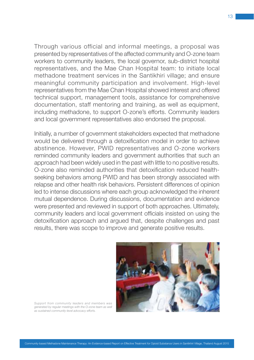Through various official and informal meetings, a proposal was presented by representatives of the affected community and O-zone team workers to community leaders, the local governor, sub-district hospital representatives, and the Mae Chan Hospital team: to initiate local methadone treatment services in the Santikhiri village; and ensure meaningful community participation and involvement. High-level representatives from the Mae Chan Hospital showed interest and offered technical support, management tools, assistance for comprehensive documentation, staff mentoring and training, as well as equipment, including methadone, to support O-zone's efforts. Community leaders and local government representatives also endorsed the proposal.

Initially, a number of government stakeholders expected that methadone would be delivered through a detoxification model in order to achieve abstinence. However, PWID representatives and O-zone workers reminded community leaders and government authorities that such an approach had been widely used in the past with little to no positive results. O-zone also reminded authorities that detoxification reduced healthseeking behaviors among PWID and has been strongly associated with relapse and other health risk behaviors. Persistent differences of opinion led to intense discussions where each group acknowledged the inherent mutual dependence. During discussions, documentation and evidence were presented and reviewed in support of both approaches. Ultimately, community leaders and local government officials insisted on using the detoxification approach and argued that, despite challenges and past results, there was scope to improve and generate positive results.



*Support from community leaders and members was generated by regular meetings with the O-zone team as well as sustained community-level advocacy efforts.*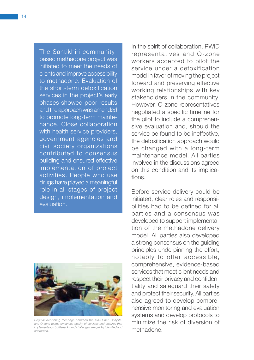The Santikhiri communitybased methadone project was initiated to meet the needs of clients and improve accessibility to methadone. Evaluation of the short-term detoxification services in the project's early phases showed poor results and the approach was amended to promote long-term maintenance. Close collaboration with health service providers. government agencies and civil society organizations contributed to consensus building and ensured effective implementation of project activities. People who use drugs have played a meaningful role in all stages of project design, implementation and evaluation.



*Regular debriefing meetings between the Mae Chan Hospital and O-zone teams enhances quality of services and ensures that implementation bottlenecks and challenges are quickly identified and addressed.*

In the spirit of collaboration, PWID representatives and O-zone workers accepted to pilot the service under a detoxification model in favor of moving the project forward and preserving effective working relationships with key stakeholders in the community. However, O-zone representatives negotiated a specific timeline for the pilot to include a comprehensive evaluation and, should the service be found to be ineffective the detoxification approach would be changed with a long-term maintenance model. All parties involved in the discussions agreed on this condition and its implications.

Before service delivery could be initiated, clear roles and responsibilities had to be defined for all parties and a consensus was developed to support implementation of the methadone delivery model. All parties also developed a strong consensus on the guiding principles underpinning the effort, notably to offer accessible, comprehensive, evidence-based services that meet client needs and respect their privacy and confidentiality and safeguard their safety and protect their security. All parties also agreed to develop comprehensive monitoring and evaluation systems and develop protocols to minimize the risk of diversion of methadone.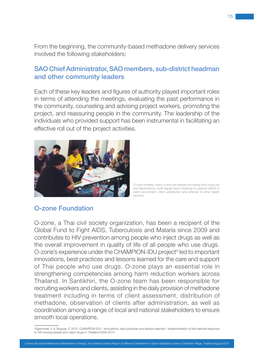From the beginning, the community-based methadone delivery services involved the following stakeholders:

### SAO Chief Administrator, SAO members, sub-district headman and other community leaders

Each of these key leaders and figures of authority played important roles in terms of attending the meetings, evaluating the past performance in the community, counseling and advising project workers, promoting the project, and reassuring people in the community. The leadership of the individuals who provided support has been instrumental in facilitating an effective roll out of the project activities.



*O-zone workers, many of who are people recovering from drug use and dependence, hold regular team meetings to support efforts in client recruitment, client satisfaction and referrals to other health services.*

### O-zone Foundation

O-zone, a Thai civil society organization, has been a recipient of the Global Fund to Fight AIDS, Tuberculosis and Malaria since 2009 and contributes to HIV prevention among people who inject drugs as well as the overall improvement in quality of life of all people who use drugs. O-zone's experience under the CHAMPION-IDU project<sup>4</sup> led to important innovations, best practices and lessons learned for the care and support of Thai people who use drugs. O-zone plays an essential role in strengthening competencies among harm reduction workers across Thailand. In Santikhiri, the O-zone team has been responsible for recruiting workers and clients, assisting in the daily provision of methadone treatment including in terms of client assessment, distribution of methadone, observation of clients after administration, as well as coordination among a range of local and national stakeholders to ensure smooth local operations.

*<sup>4</sup> Ngammee, V. & Tanguay, P. 2015. CHAMPION-IDU - Innovations, best practices and lessons learned - Implementation of the national response to HIV among people who inject drugs in Thailand 2009-2014.*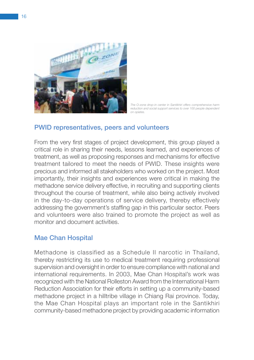

*The O-zone drop-in center in Santikhiri offers comprehensive harm reduction and social support services to over 100 people dependent on opiates.*

### PWID representatives, peers and volunteers

From the very first stages of project development, this group played a critical role in sharing their needs, lessons learned, and experiences of treatment, as well as proposing responses and mechanisms for effective treatment tailored to meet the needs of PWID. These insights were precious and informed all stakeholders who worked on the project. Most importantly, their insights and experiences were critical in making the methadone service delivery effective, in recruiting and supporting clients throughout the course of treatment, while also being actively involved in the day-to-day operations of service delivery, thereby effectively addressing the government's staffing gap in this particular sector. Peers and volunteers were also trained to promote the project as well as monitor and document activities.

### Mae Chan Hospital

Methadone is classified as a Schedule II narcotic in Thailand, thereby restricting its use to medical treatment requiring professional supervision and oversight in order to ensure compliance with national and international requirements. In 2003, Mae Chan Hospital's work was recognized with the National Rolleston Award from the International Harm Reduction Association for their efforts in setting up a community-based methadone project in a hilltribe village in Chiang Rai province. Today, the Mae Chan Hospital plays an important role in the Santikhiri community-based methadone project by providing academic information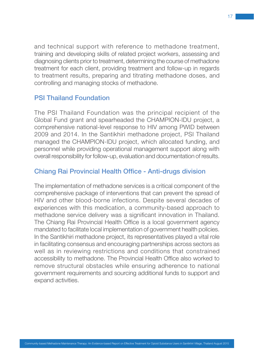and technical support with reference to methadone treatment, training and developing skills of related project workers, assessing and diagnosing clients prior to treatment, determining the course of methadone treatment for each client, providing treatment and follow-up in regards to treatment results, preparing and titrating methadone doses, and controlling and managing stocks of methadone.

### PSI Thailand Foundation

The PSI Thailand Foundation was the principal recipient of the Global Fund grant and spearheaded the CHAMPION-IDU project, a comprehensive national-level response to HIV among PWID between 2009 and 2014. In the Santikhiri methadone project, PSI Thailand managed the CHAMPION-IDU project, which allocated funding, and personnel while providing operational management support along with overall responsibility for follow-up, evaluation and documentation of results.

### Chiang Rai Provincial Health Office - Anti-drugs division

The implementation of methadone services is a critical component of the comprehensive package of interventions that can prevent the spread of HIV and other blood-borne infections. Despite several decades of experiences with this medication, a community-based approach to methadone service delivery was a significant innovation in Thailand. The Chiang Rai Provincial Health Office is a local government agency mandated to facilitate local implementation of government health policies. In the Santikhiri methadone project, its representatives played a vital role in facilitating consensus and encouraging partnerships across sectors as well as in reviewing restrictions and conditions that constrained accessibility to methadone. The Provincial Health Office also worked to remove structural obstacles while ensuring adherence to national government requirements and sourcing additional funds to support and expand activities.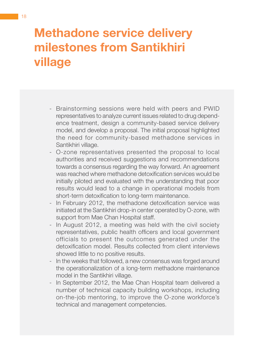# **Methadone service delivery milestones from Santikhiri village**

- Brainstorming sessions were held with peers and PWID representatives to analyze current issues related to drug dependence treatment, design a community-based service delivery model, and develop a proposal. The initial proposal highlighted the need for community-based methadone services in Santikhiri village.
- O-zone representatives presented the proposal to local authorities and received suggestions and recommendations towards a consensus regarding the way forward. An agreement was reached where methadone detoxification services would be initially piloted and evaluated with the understanding that poor results would lead to a change in operational models from short-term detoxification to long-term maintenance.
- In February 2012, the methadone detoxification service was initiated at the Santikhiri drop-in center operated by O-zone, with support from Mae Chan Hospital staff.
- In August 2012, a meeting was held with the civil society representatives, public health officers and local government officials to present the outcomes generated under the detoxification model. Results collected from client interviews showed little to no positive results.
- In the weeks that followed, a new consensus was forged around the operationalization of a long-term methadone maintenance model in the Santikhiri village.
- In September 2012, the Mae Chan Hospital team delivered a number of technical capacity building workshops, including on-the-job mentoring, to improve the O-zone workforce's technical and management competencies.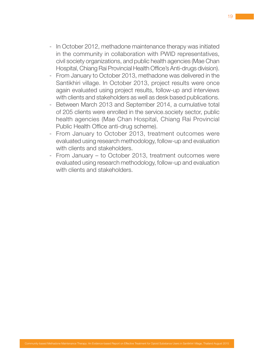- In October 2012, methadone maintenance therapy was initiated in the community in collaboration with PWID representatives, civil society organizations, and public health agencies (Mae Chan Hospital, Chiang Rai Provincial Health Office's Anti-drugs division).
- From January to October 2013, methadone was delivered in the Santikhiri village. In October 2013, project results were once again evaluated using project results, follow-up and interviews with clients and stakeholders as well as desk based publications.
- Between March 2013 and September 2014, a cumulative total of 205 clients were enrolled in the service.society sector, public health agencies (Mae Chan Hospital, Chiang Rai Provincial Public Health Office anti-drug scheme).
- From January to October 2013, treatment outcomes were evaluated using research methodology, follow-up and evaluation with clients and stakeholders.
- From January to October 2013, treatment outcomes were evaluated using research methodology, follow-up and evaluation with clients and stakeholders.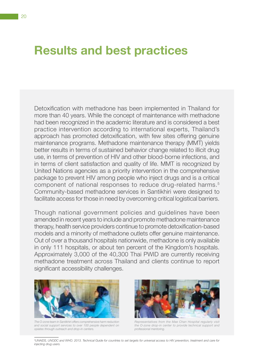## **Results and best practices**

Detoxification with methadone has been implemented in Thailand for more than 40 years. While the concept of maintenance with methadone had been recognized in the academic literature and is considered a best practice intervention according to international experts, Thailand's approach has promoted detoxification, with few sites offering genuine maintenance programs. Methadone maintenance therapy (MMT) yields better results in terms of sustained behavior change related to illicit drug use, in terms of prevention of HIV and other blood-borne infections, and in terms of client satisfaction and quality of life. MMT is recognized by United Nations agencies as a priority intervention in the comprehensive package to prevent HIV among people who inject drugs and is a critical component of national responses to reduce drug-related harms.<sup>5</sup> Community-based methadone services in Santikhiri were designed to facilitate access for those in need by overcoming critical logistical barriers.

Though national government policies and guidelines have been amended in recent years to include and promote methadone maintenance therapy, health service providers continue to promote detoxification-based models and a minority of methadone outlets offer genuine maintenance. Out of over a thousand hospitals nationwide, methadone is only available in only 111 hospitals, or about ten percent of the Kingdom's hospitals. Approximately 3,000 of the 40,300 Thai PWID are currently receiving methadone treatment across Thailand and clients continue to report significant accessibility challenges.



*The O-zone team in Santikhiri offers comprehensive harm reduction and social support services to over 100 people dependent on opiates through outreach and drop-in centers.*



*Representatives from the Mae Chan Hospital regularly visit the O-zone drop-in center to provide technical support and professional mentoring.*

*5 UNAIDS, UNODC and WHO. 2013. Technical Guide for countries to set targets for universal access to HIV prevention, treatment and care for injecting drug users.*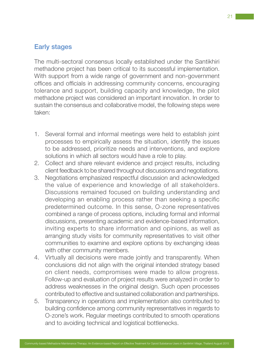## Early stages

The multi-sectoral consensus locally established under the Santikhiri methadone project has been critical to its successful implementation. With support from a wide range of government and non-government offices and officials in addressing community concerns, encouraging tolerance and support, building capacity and knowledge, the pilot methadone project was considered an important innovation. In order to sustain the consensus and collaborative model, the following steps were taken:

- 1. Several formal and informal meetings were held to establish joint processes to empirically assess the situation, identify the issues to be addressed, prioritize needs and interventions, and explore solutions in which all sectors would have a role to play.
- 2. Collect and share relevant evidence and project results, including client feedback to be shared throughout discussions and negotiations.
- 3. Negotiations emphasized respectful discussion and acknowledged the value of experience and knowledge of all stakeholders. Discussions remained focused on building understanding and developing an enabling process rather than seeking a specific predetermined outcome. In this sense, O-zone representatives combined a range of process options, including formal and informal discussions, presenting academic and evidence-based information, inviting experts to share information and opinions, as well as arranging study visits for community representatives to visit other communities to examine and explore options by exchanging ideas with other community members.
- 4. Virtually all decisions were made jointly and transparently. When conclusions did not align with the original intended strategy based on client needs, compromises were made to allow progress. Follow-up and evaluation of project results were analyzed in order to address weaknesses in the original design. Such open processes contributed to effective and sustained collaboration and partnerships.
- 5. Transparency in operations and implementation also contributed to building confidence among community representatives in regards to O-zone's work. Regular meetings contributed to smooth operations and to avoiding technical and logistical bottlenecks.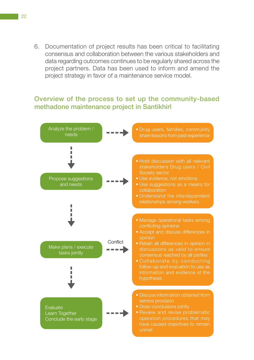6. Documentation of project results has been critical to facilitating consensus and collaboration between the various stakeholders and data regarding outcomes continues to be regularly shared across the project partners. Data has been used to inform and amend the project strategy in favor of a maintenance service model.

### Overview of the process to set up the community-based methadone maintenance project in Santikhirl

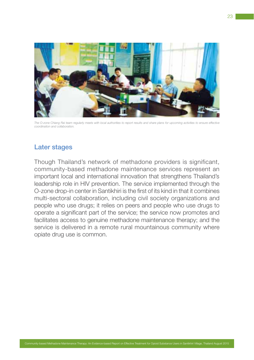

*The O-zone Chiang Rai team regularly meets with local authorities to report results and share plans for upcoming activities to ensure effective coordination and collaboration.*

### Later stages

Though Thailand's network of methadone providers is significant, community-based methadone maintenance services represent an important local and international innovation that strengthens Thailand's leadership role in HIV prevention. The service implemented through the O-zone drop-in center in Santikhiri is the first of its kind in that it combines multi-sectoral collaboration, including civil society organizations and people who use drugs; it relies on peers and people who use drugs to operate a significant part of the service; the service now promotes and facilitates access to genuine methadone maintenance therapy; and the service is delivered in a remote rural mountainous community where opiate drug use is common.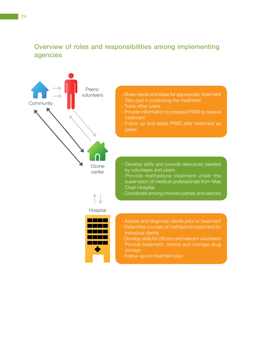## Overview of roles and responsibilities among implementing agencies

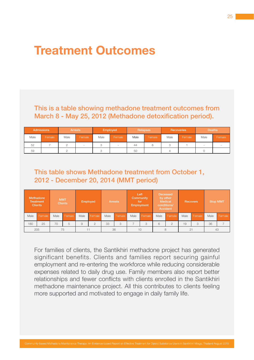## **Treatment Outcomes**

## This is a table showing methadone treatment outcomes from March 8 - May 25, 2012 (Methadone detoxification period).

| <b>Admissions</b> |        | <b>Arrests</b> |        | Employed |        |      | Relapses |      | Recoveries | <b>Deaths</b> |        |
|-------------------|--------|----------------|--------|----------|--------|------|----------|------|------------|---------------|--------|
| Male              | Female | Male           | Female | Male     | Female | Male | Female   | Male | Female     | Male          | Female |
| 52                |        |                |        |          |        | 44   |          |      |            |               |        |
| 59                |        |                |        |          |        | 50   |          |      |            |               |        |

## This table shows Methadone treatment from October 1, 2012 - December 20, 2014 (MMT period)

| Methadone<br><b>Treatment</b><br><b>Clients</b> |        | <b>MMT</b><br><b>Clients</b> |        | Employed |          | <b>Arrests</b> |        | Left<br>Community<br>for<br>Employment |        | <b>Deceased</b><br>by other<br>Medical<br>conditions/<br>Accident |                | <b>Recovers</b> |        | <b>Stop MMT</b> |        |
|-------------------------------------------------|--------|------------------------------|--------|----------|----------|----------------|--------|----------------------------------------|--------|-------------------------------------------------------------------|----------------|-----------------|--------|-----------------|--------|
| Male                                            | Female | Male                         | Female | Male     | Female   | Male           | Female | Male                                   | Female | Male                                                              | Female         | Male            | Female | Male            | Female |
| 180                                             | 25     | 70                           | 5      | 9        | $\Omega$ | 33             | 3      |                                        | 3      | 6                                                                 | $\overline{2}$ | 19              |        | 36              |        |
|                                                 | 205    |                              | 75     |          |          |                | 36     |                                        | 10     |                                                                   |                |                 | 21     | 43              |        |

For families of clients, the Santikhiri methadone project has generated significant benefits. Clients and families report securing gainful employment and re-entering the workforce while reducing considerable expenses related to daily drug use. Family members also report better relationships and fewer conflicts with clients enrolled in the Santikhiri methadone maintenance project. All this contributes to clients feeling more supported and motivated to engage in daily family life.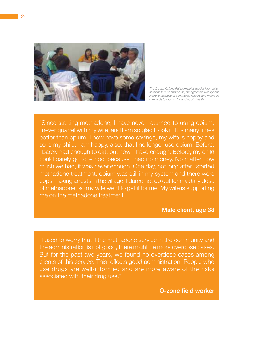

*The O-zone Chiang Rai team holds regular information sessions to raise awareness, strengthen knowledge and improve attitudes of community leaders and members in regards to drugs, HIV, and public health*

"Since starting methadone, I have never returned to using opium, I never quarrel with my wife, and I am so glad I took it. It is many times better than opium. I now have some savings, my wife is happy and so is my child. I am happy, also, that I no longer use opium. Before, I barely had enough to eat, but now, I have enough. Before, my child could barely go to school because I had no money. No matter how much we had, it was never enough. One day, not long after I started methadone treatment, opium was still in my system and there were cops making arrests in the village. I dared not go out for my daily dose of methadone, so my wife went to get it for me. My wife is supporting me on the methadone treatment."

#### Male client, age 38

"I used to worry that if the methadone service in the community and the administration is not good, there might be more overdose cases. But for the past two years, we found no overdose cases among clients of this service. This reflects good administration. People who use drugs are well-informed and are more aware of the risks associated with their drug use."

O-zone field worker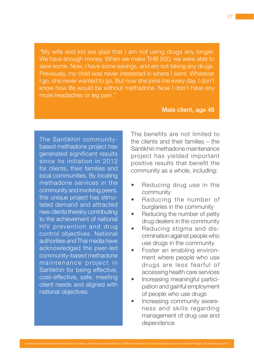"My wife and kid are glad that I am not using drugs any longer. We have enough money. When we make THB 500, we were able to save some. Now, I have some savings, and am not taking any drugs. Previously, my child was never interested in where I went. Wherever I go, she never wanted to go. But now she joins me every day. I don't know how life would be without methadone. Now I don't have any more headaches or leg pain."

### Male client, age 48

The Santikhiri communitybased methadone project has generated significant results since its initiation in 2012 for clients, their families and local communities. By locating methadone services in the community and involving peers, this unique project has stimulated demand and attracted new clients thereby contributing to the achievement of national HIV prevention and drug control objectives. National authorities and Thai media have acknowledged the peer-led community-based methadone maintenance project in Santikhiri for being effective, cost-effective, safe, meeting client needs and aligned with national objectives.

The benefits are not limited to the clients and their families – the Santikhiri methadone maintenance project has yielded important positive results that benefit the community as a whole, including:

- Reducing drug use in the community
- Reducing the number of burglaries in the community
- Reducing the number of petty drug dealers in the community
- Reducing stigma and discrimination against people who use drugs in the community
- Foster an enabling environment where people who use drugs are less fearful of accessing health care services
- Increasing meaningful participation and gainful employment of people who use drugs
- Increasing community awareness and skills regarding management of drug use and dependence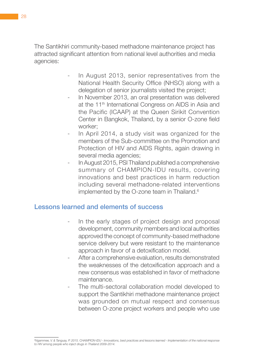The Santikhiri community-based methadone maintenance project has attracted significant attention from national level authorities and media agencies:

- In August 2013, senior representatives from the National Health Security Office (NHSO) along with a delegation of senior journalists visited the project;
- In November 2013, an oral presentation was delivered at the 11<sup>th</sup> International Congress on AIDS in Asia and the Pacific (ICAAP) at the Queen Sirikit Convention Center in Bangkok, Thailand, by a senior O-zone field worker;
- In April 2014, a study visit was organized for the members of the Sub-committee on the Promotion and Protection of HIV and AIDS Rights, again drawing in several media agencies;
- In August 2015, PSI Thailand published a comprehensive summary of CHAMPION-IDU results, covering innovations and best practices in harm reduction including several methadone-related interventions implemented by the O-zone team in Thailand.<sup>6</sup>

### Lessons learned and elements of success

- In the early stages of project design and proposal development, community members and local authorities approved the concept of community-based methadone service delivery but were resistant to the maintenance approach in favor of a detoxification model.
- After a comprehensive evaluation, results demonstrated the weaknesses of the detoxification approach and a new consensus was established in favor of methadone maintenance.
- The multi-sectoral collaboration model developed to support the Santikhiri methadone maintenance project was grounded on mutual respect and consensus between O-zone project workers and people who use

*<sup>6</sup> Ngammee, V. & Tanguay, P. 2015. CHAMPION-IDU - Innovations, best practices and lessons learned - Implementation of the national response to HIV among people who inject drugs in Thailand 2009-2014.*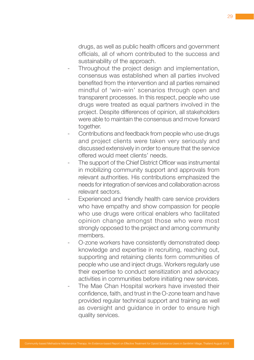drugs, as well as public health officers and government officials, all of whom contributed to the success and sustainability of the approach.

- Throughout the project design and implementation, consensus was established when all parties involved benefited from the intervention and all parties remained mindful of 'win-win' scenarios through open and transparent processes. In this respect, people who use drugs were treated as equal partners involved in the project. Despite differences of opinion, all stakeholders were able to maintain the consensus and move forward together.
- Contributions and feedback from people who use drugs and project clients were taken very seriously and discussed extensively in order to ensure that the service offered would meet clients' needs.
- The support of the Chief District Officer was instrumental in mobilizing community support and approvals from relevant authorities. His contributions emphasized the needs for integration of services and collaboration across relevant sectors.
- Experienced and friendly health care service providers who have empathy and show compassion for people who use drugs were critical enablers who facilitated opinion change amongst those who were most strongly opposed to the project and among community members.
- O-zone workers have consistently demonstrated deep knowledge and expertise in recruiting, reaching out, supporting and retaining clients form communities of people who use and inject drugs. Workers regularly use their expertise to conduct sensitization and advocacy activities in communities before initiating new services.
- The Mae Chan Hospital workers have invested their confidence, faith, and trust in the O-zone team and have provided regular technical support and training as well as oversight and guidance in order to ensure high quality services.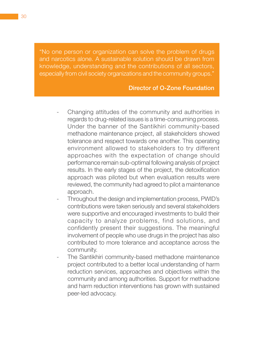"No one person or organization can solve the problem of drugs and narcotics alone. A sustainable solution should be drawn from knowledge, understanding and the contributions of all sectors, especially from civil society organizations and the community groups."

### Director of O-Zone Foundation

- Changing attitudes of the community and authorities in regards to drug-related issues is a time-consuming process. Under the banner of the Santikhiri community-based methadone maintenance project, all stakeholders showed tolerance and respect towards one another. This operating environment allowed to stakeholders to try different approaches with the expectation of change should performance remain sub-optimal following analysis of project results. In the early stages of the project, the detoxification approach was piloted but when evaluation results were reviewed, the community had agreed to pilot a maintenance approach.
- Throughout the design and implementation process, PWID's contributions were taken seriously and several stakeholders were supportive and encouraged investments to build their capacity to analyze problems, find solutions, and confidently present their suggestions. The meaningful involvement of people who use drugs in the project has also contributed to more tolerance and acceptance across the community.
- The Santikhiri community-based methadone maintenance project contributed to a better local understanding of harm reduction services, approaches and objectives within the community and among authorities. Support for methadone and harm reduction interventions has grown with sustained peer-led advocacy.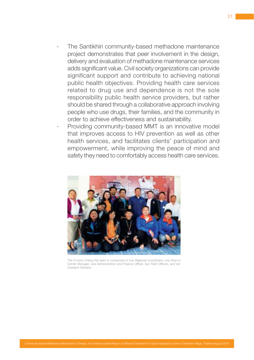- The Santikhiri community-based methadone maintenance project demonstrates that peer involvement in the design, delivery and evaluation of methadone maintenance services adds significant value. Civil society organizations can provide significant support and contribute to achieving national public health objectives. Providing health care services related to drug use and dependence is not the sole responsibility public health service providers, but rather should be shared through a collaborative approach involving people who use drugs, their families, and the community in order to achieve effectiveness and sustainability.
- Providing community-based MMT is an innovative model that improves access to HIV prevention as well as other health services, and facilitates clients' participation and empowerment, while improving the peace of mind and safety they need to comfortably access health care services.



*The O-zone Chiang Rai team is composed of one Regional Coordinator, one Drop-in Center Manager, one Administration and Finance Officer, two Field Officers, and ten Outreach Workers.*